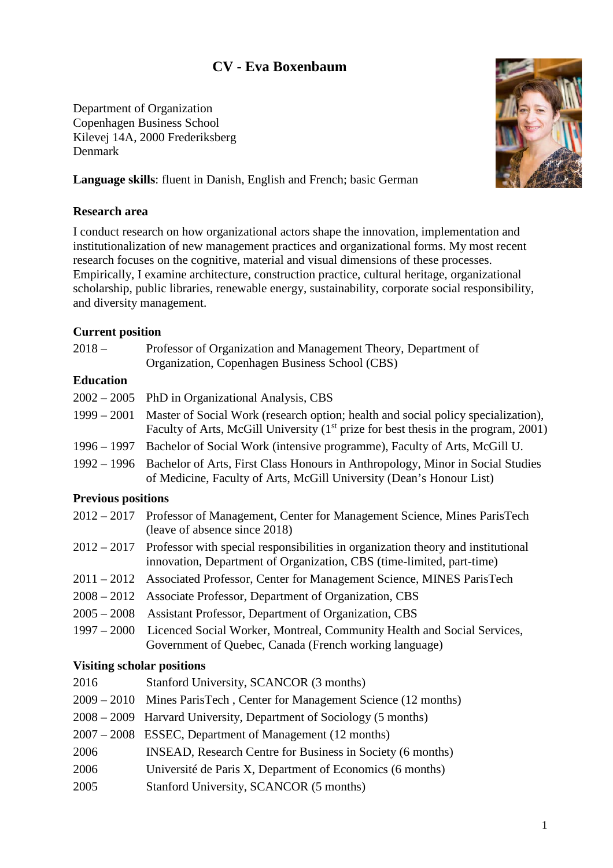# **CV - Eva Boxenbaum**

Department of Organization Copenhagen Business School Kilevej 14A, 2000 Frederiksberg Denmark



**Language skills**: fluent in Danish, English and French; basic German

#### **Research area**

I conduct research on how organizational actors shape the innovation, implementation and institutionalization of new management practices and organizational forms. My most recent research focuses on the cognitive, material and visual dimensions of these processes. Empirically, I examine architecture, construction practice, cultural heritage, organizational scholarship, public libraries, renewable energy, sustainability, corporate social responsibility, and diversity management.

#### **Current position**

| $2018-$ | Professor of Organization and Management Theory, Department of |
|---------|----------------------------------------------------------------|
|         | Organization, Copenhagen Business School (CBS)                 |

### **Education**

|                           | $2002 - 2005$ PhD in Organizational Analysis, CBS                                                                                                                                     |  |
|---------------------------|---------------------------------------------------------------------------------------------------------------------------------------------------------------------------------------|--|
|                           | 1999 – 2001 Master of Social Work (research option; health and social policy specialization),<br>Faculty of Arts, McGill University $(1st prie$ for best thesis in the program, 2001) |  |
|                           | 1996 – 1997 Bachelor of Social Work (intensive programme), Faculty of Arts, McGill U.                                                                                                 |  |
|                           | 1992 – 1996 Bachelor of Arts, First Class Honours in Anthropology, Minor in Social Studies<br>of Medicine, Faculty of Arts, McGill University (Dean's Honour List)                    |  |
| <b>Previous positions</b> |                                                                                                                                                                                       |  |
| $2012 - 2017 - D$         | $\mathcal{C} M$ $\mathcal{C} M$<br>$\mathbf{r}$ $\mathbf{r}$ $\mathbf{r}$ $\mathbf{r}$ $\mathbf{r}$                                                                                   |  |

| 2012 – 2017 Professor of Management, Center for Management Science, Mines ParisTech |
|-------------------------------------------------------------------------------------|
| (leave of absence since 2018)                                                       |

- 2012 2017 Professor with special responsibilities in organization theory and institutional innovation, Department of Organization, CBS (time-limited, part-time)
- 2011 2012 Associated Professor, Center for Management Science, MINES ParisTech
- 2008 2012 Associate Professor, Department of Organization, CBS
- 2005 2008 Assistant Professor, Department of Organization, CBS
- 1997 2000 Licenced Social Worker, Montreal, Community Health and Social Services, Government of Quebec, Canada (French working language)

### **Visiting scholar positions**

- 2016 Stanford University, SCANCOR (3 months)
- 2009 2010 Mines ParisTech , Center for Management Science (12 months)
- 2008 2009 Harvard University, Department of Sociology (5 months)
- 2007 2008 ESSEC, Department of Management (12 months)
- 2006 INSEAD, Research Centre for Business in Society (6 months)
- 2006 Université de Paris X, Department of Economics (6 months)
- 2005 Stanford University, SCANCOR (5 months)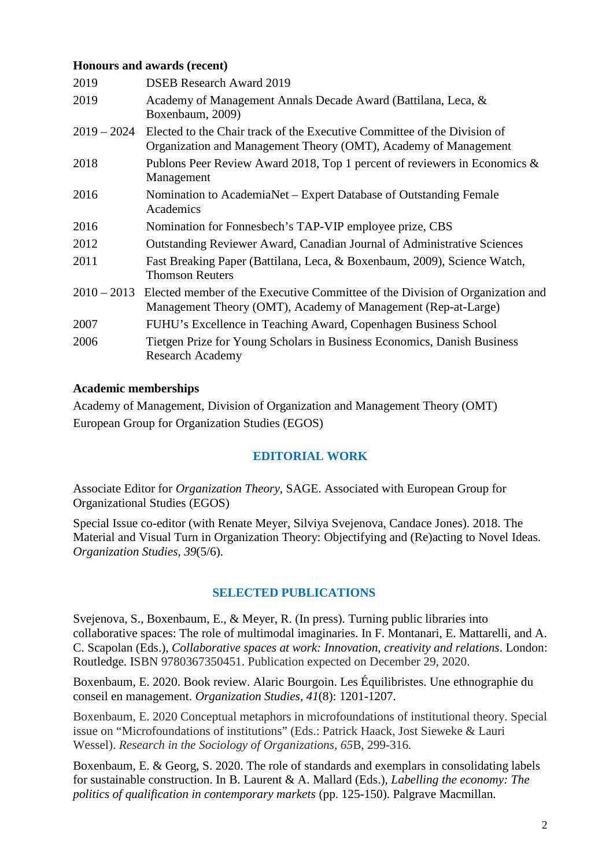## **Honours and awards (recent)**

| 2019          | <b>DSEB</b> Research Award 2019                                                                                                                |
|---------------|------------------------------------------------------------------------------------------------------------------------------------------------|
| 2019          | Academy of Management Annals Decade Award (Battilana, Leca, &<br>Boxenbaum, 2009)                                                              |
| $2019 - 2024$ | Elected to the Chair track of the Executive Committee of the Division of<br>Organization and Management Theory (OMT), Academy of Management    |
| 2018          | Publons Peer Review Award 2018, Top 1 percent of reviewers in Economics &<br>Management                                                        |
| 2016          | Nomination to AcademiaNet – Expert Database of Outstanding Female<br>Academics                                                                 |
| 2016          | Nomination for Fonnesbech's TAP-VIP employee prize, CBS                                                                                        |
| 2012          | <b>Outstanding Reviewer Award, Canadian Journal of Administrative Sciences</b>                                                                 |
| 2011          | Fast Breaking Paper (Battilana, Leca, & Boxenbaum, 2009), Science Watch,<br><b>Thomson Reuters</b>                                             |
| $2010 - 2013$ | Elected member of the Executive Committee of the Division of Organization and<br>Management Theory (OMT), Academy of Management (Rep-at-Large) |
| 2007          | FUHU's Excellence in Teaching Award, Copenhagen Business School                                                                                |
| 2006          | Tietgen Prize for Young Scholars in Business Economics, Danish Business<br><b>Research Academy</b>                                             |
|               |                                                                                                                                                |

### **Academic memberships**

Academy of Management, Division of Organization and Management Theory (OMT) European Group for Organization Studies (EGOS)

# **EDITORIAL WORK**

Associate Editor for *Organization Theory*, SAGE. Associated with European Group for Organizational Studies (EGOS)

Special Issue co-editor (with Renate Meyer, Silviya Svejenova, Candace Jones). 2018. The Material and Visual Turn in Organization Theory: Objectifying and (Re)acting to Novel Ideas. *Organization Studies, 39*(5/6).

# **SELECTED PUBLICATIONS**

Svejenova, S., Boxenbaum, E., & Meyer, R. (In press). Turning public libraries into collaborative spaces: The role of multimodal imaginaries. In F. Montanari, E. Mattarelli, and A. C. Scapolan (Eds.), *Collaborative spaces at work: Innovation, creativity and relations*. London: Routledge. ISBN 9780367350451. Publication expected on December 29, 2020.

Boxenbaum, E. 2020. Book review. Alaric Bourgoin. Les Équilibristes. Une ethnographie du conseil en management. *Organization Studies, 41*(8): 1201-1207.

Boxenbaum, E. 2020 Conceptual metaphors in microfoundations of institutional theory. Special issue on "Microfoundations of institutions" (Eds.: Patrick Haack, Jost Sieweke & Lauri Wessel). *Research in the Sociology of Organizations, 65*B, 299-316*.*

Boxenbaum, E. & Georg, S. 2020. The role of standards and exemplars in consolidating labels for sustainable construction. In B. Laurent & A. Mallard (Eds.), *Labelling the economy: The politics of qualification in contemporary markets* (pp. 125-150). Palgrave Macmillan.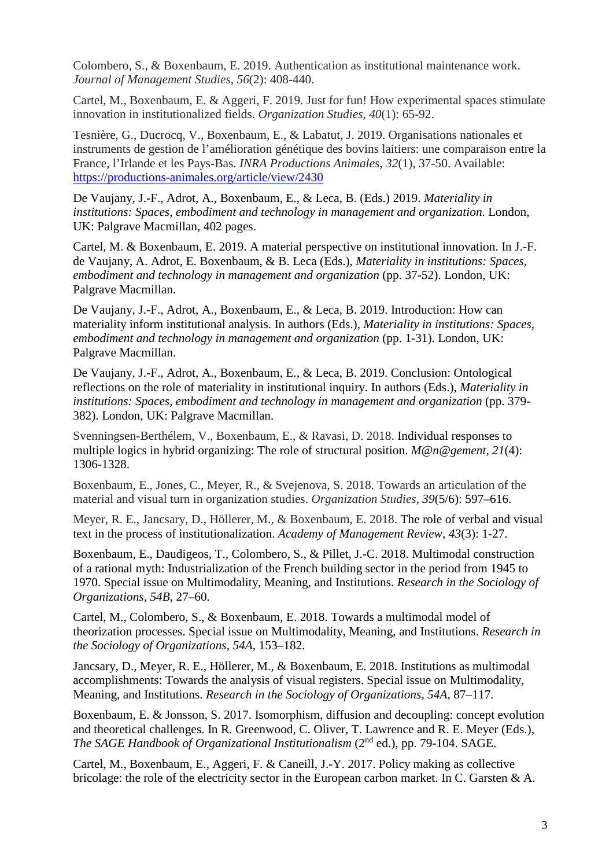Colombero, S., & Boxenbaum, E. 2019. Authentication as institutional maintenance work. *Journal of Management Studies*, *56*(2): 408-440.

Cartel, M., Boxenbaum, E. & Aggeri, F. 2019. Just for fun! How experimental spaces stimulate innovation in institutionalized fields. *Organization Studies*, *40*(1): 65-92.

Tesnière, G., Ducrocq, V., Boxenbaum, E., & Labatut, J. 2019. Organisations nationales et instruments de gestion de l'amélioration génétique des bovins laitiers: une comparaison entre la France, l'Irlande et les Pays-Bas. *INRA Productions Animales*, *32*(1), 37-50. Available: <https://productions-animales.org/article/view/2430>

De Vaujany, J.-F., Adrot, A., Boxenbaum, E., & Leca, B. (Eds.) 2019. *Materiality in institutions: Spaces, embodiment and technology in management and organization*. London, UK: Palgrave Macmillan, 402 pages.

Cartel, M. & Boxenbaum, E. 2019. A material perspective on institutional innovation. In J.-F. de Vaujany, A. Adrot, E. Boxenbaum, & B. Leca (Eds.), *Materiality in institutions: Spaces, embodiment and technology in management and organization* (pp. 37-52). London, UK: Palgrave Macmillan.

De Vaujany, J.-F., Adrot, A., Boxenbaum, E., & Leca, B. 2019. Introduction: How can materiality inform institutional analysis. In authors (Eds.), *Materiality in institutions: Spaces, embodiment and technology in management and organization* (pp. 1-31). London, UK: Palgrave Macmillan.

De Vaujany, J.-F., Adrot, A., Boxenbaum, E., & Leca, B. 2019. Conclusion: Ontological reflections on the role of materiality in institutional inquiry. In authors (Eds.), *Materiality in institutions: Spaces, embodiment and technology in management and organization (pp. 379-*382). London, UK: Palgrave Macmillan.

Svenningsen-Berthélem, V., Boxenbaum, E., & Ravasi, D. 2018. Individual responses to multiple logics in hybrid organizing: The role of structural position. *M@n@gement, 21*(4): 1306-1328.

Boxenbaum, E., Jones, C., Meyer, R., & Svejenova, S. 2018. Towards an articulation of the material and visual turn in organization studies. *Organization Studies*, *39*(5/6): 597–616.

Meyer, R. E., Jancsary, D., Höllerer, M., & Boxenbaum, E. 2018. The role of verbal and visual text in the process of institutionalization. *Academy of Management Review, 43*(3): 1-27.

Boxenbaum, E., Daudigeos, T., Colombero, S., & Pillet, J.-C. 2018. Multimodal construction of a rational myth: Industrialization of the French building sector in the period from 1945 to 1970. Special issue on Multimodality, Meaning, and Institutions. *Research in the Sociology of Organizations, 54B*, 27–60*.*

Cartel, M., Colombero, S., & Boxenbaum, E. 2018. Towards a multimodal model of theorization processes. Special issue on Multimodality, Meaning, and Institutions. *Research in the Sociology of Organizations, 54A*, 153–182.

Jancsary, D., Meyer, R. E., Höllerer, M., & Boxenbaum, E. 2018. Institutions as multimodal accomplishments: Towards the analysis of visual registers. Special issue on Multimodality, Meaning, and Institutions. *Research in the Sociology of Organizations*, *54A*, 87–117.

Boxenbaum, E. & Jonsson, S. 2017. Isomorphism, diffusion and decoupling: concept evolution and theoretical challenges. In R. Greenwood, C. Oliver, T. Lawrence and R. E. Meyer (Eds.), *The SAGE Handbook of Organizational Institutionalism* (2nd ed.), pp. 79-104. SAGE.

Cartel, M., Boxenbaum, E., Aggeri, F. & Caneill, J.-Y. 2017. Policy making as collective bricolage: the role of the electricity sector in the European carbon market. In C. Garsten & A.